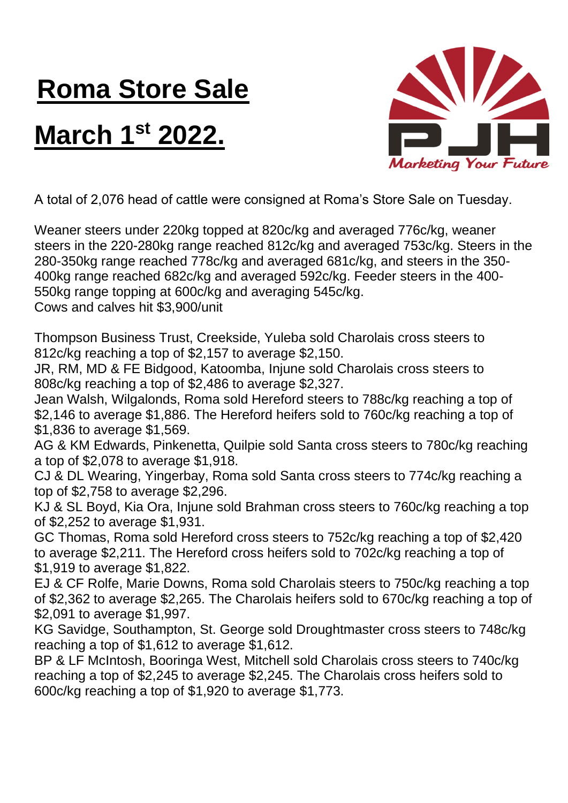## **Roma Store Sale**

## **March 1st 2022.**



A total of 2,076 head of cattle were consigned at Roma's Store Sale on Tuesday.

Weaner steers under 220kg topped at 820c/kg and averaged 776c/kg, weaner steers in the 220-280kg range reached 812c/kg and averaged 753c/kg. Steers in the 280-350kg range reached 778c/kg and averaged 681c/kg, and steers in the 350- 400kg range reached 682c/kg and averaged 592c/kg. Feeder steers in the 400- 550kg range topping at 600c/kg and averaging 545c/kg.

Cows and calves hit \$3,900/unit

Thompson Business Trust, Creekside, Yuleba sold Charolais cross steers to 812c/kg reaching a top of \$2,157 to average \$2,150.

JR, RM, MD & FE Bidgood, Katoomba, Injune sold Charolais cross steers to 808c/kg reaching a top of \$2,486 to average \$2,327.

Jean Walsh, Wilgalonds, Roma sold Hereford steers to 788c/kg reaching a top of \$2,146 to average \$1,886. The Hereford heifers sold to 760c/kg reaching a top of \$1,836 to average \$1,569.

AG & KM Edwards, Pinkenetta, Quilpie sold Santa cross steers to 780c/kg reaching a top of \$2,078 to average \$1,918.

CJ & DL Wearing, Yingerbay, Roma sold Santa cross steers to 774c/kg reaching a top of \$2,758 to average \$2,296.

KJ & SL Boyd, Kia Ora, Injune sold Brahman cross steers to 760c/kg reaching a top of \$2,252 to average \$1,931.

GC Thomas, Roma sold Hereford cross steers to 752c/kg reaching a top of \$2,420 to average \$2,211. The Hereford cross heifers sold to 702c/kg reaching a top of \$1,919 to average \$1,822.

EJ & CF Rolfe, Marie Downs, Roma sold Charolais steers to 750c/kg reaching a top of \$2,362 to average \$2,265. The Charolais heifers sold to 670c/kg reaching a top of \$2,091 to average \$1,997.

KG Savidge, Southampton, St. George sold Droughtmaster cross steers to 748c/kg reaching a top of \$1,612 to average \$1,612.

BP & LF McIntosh, Booringa West, Mitchell sold Charolais cross steers to 740c/kg reaching a top of \$2,245 to average \$2,245. The Charolais cross heifers sold to 600c/kg reaching a top of \$1,920 to average \$1,773.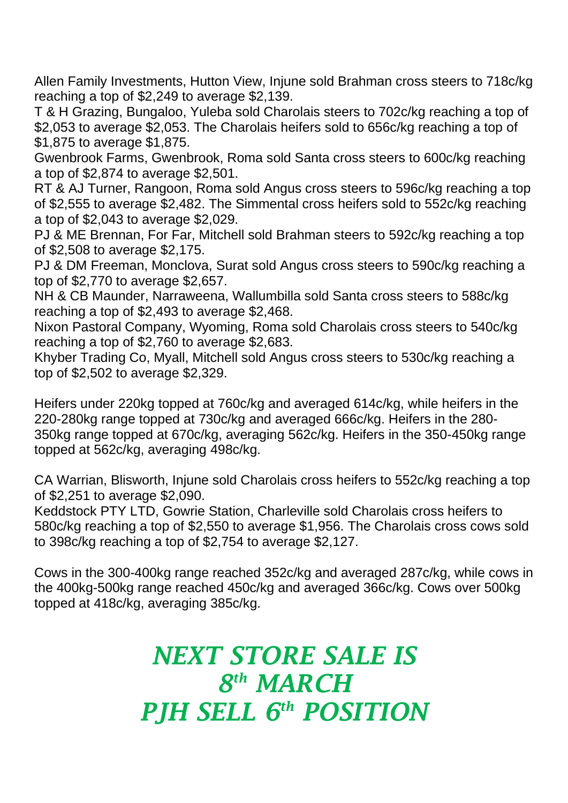Allen Family Investments, Hutton View, Injune sold Brahman cross steers to 718c/kg reaching a top of \$2,249 to average \$2,139.

T & H Grazing, Bungaloo, Yuleba sold Charolais steers to 702c/kg reaching a top of \$2,053 to average \$2,053. The Charolais heifers sold to 656c/kg reaching a top of \$1,875 to average \$1,875.

Gwenbrook Farms, Gwenbrook, Roma sold Santa cross steers to 600c/kg reaching a top of \$2,874 to average \$2,501.

RT & AJ Turner, Rangoon, Roma sold Angus cross steers to 596c/kg reaching a top of \$2,555 to average \$2,482. The Simmental cross heifers sold to 552c/kg reaching a top of \$2,043 to average \$2,029.

PJ & ME Brennan, For Far, Mitchell sold Brahman steers to 592c/kg reaching a top of \$2,508 to average \$2,175.

PJ & DM Freeman, Monclova, Surat sold Angus cross steers to 590c/kg reaching a top of \$2,770 to average \$2,657.

NH & CB Maunder, Narraweena, Wallumbilla sold Santa cross steers to 588c/kg reaching a top of \$2,493 to average \$2,468.

Nixon Pastoral Company, Wyoming, Roma sold Charolais cross steers to 540c/kg reaching a top of \$2,760 to average \$2,683.

Khyber Trading Co, Myall, Mitchell sold Angus cross steers to 530c/kg reaching a top of \$2,502 to average \$2,329.

Heifers under 220kg topped at 760c/kg and averaged 614c/kg, while heifers in the 220-280kg range topped at 730c/kg and averaged 666c/kg. Heifers in the 280- 350kg range topped at 670c/kg, averaging 562c/kg. Heifers in the 350-450kg range topped at 562c/kg, averaging 498c/kg.

CA Warrian, Blisworth, Injune sold Charolais cross heifers to 552c/kg reaching a top of \$2,251 to average \$2,090.

Keddstock PTY LTD, Gowrie Station, Charleville sold Charolais cross heifers to 580c/kg reaching a top of \$2,550 to average \$1,956. The Charolais cross cows sold to 398c/kg reaching a top of \$2,754 to average \$2,127.

Cows in the 300-400kg range reached 352c/kg and averaged 287c/kg, while cows in the 400kg-500kg range reached 450c/kg and averaged 366c/kg. Cows over 500kg topped at 418c/kg, averaging 385c/kg.

## *NEXT STORE SALE IS 8 th MARCH PJH SELL 6 th POSITION*